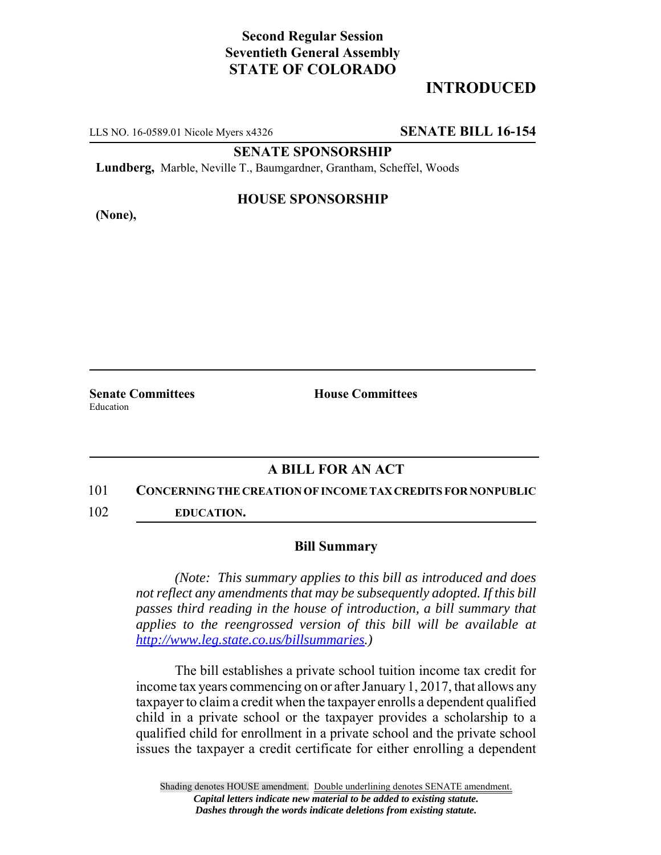## **Second Regular Session Seventieth General Assembly STATE OF COLORADO**

# **INTRODUCED**

LLS NO. 16-0589.01 Nicole Myers x4326 **SENATE BILL 16-154**

**SENATE SPONSORSHIP**

**Lundberg,** Marble, Neville T., Baumgardner, Grantham, Scheffel, Woods

**(None),**

### **HOUSE SPONSORSHIP**

**Senate Committees House Committees** Education

### **A BILL FOR AN ACT**

#### 101 **CONCERNING THE CREATION OF INCOME TAX CREDITS FOR NONPUBLIC**

102 **EDUCATION.**

#### **Bill Summary**

*(Note: This summary applies to this bill as introduced and does not reflect any amendments that may be subsequently adopted. If this bill passes third reading in the house of introduction, a bill summary that applies to the reengrossed version of this bill will be available at http://www.leg.state.co.us/billsummaries.)*

The bill establishes a private school tuition income tax credit for income tax years commencing on or after January 1, 2017, that allows any taxpayer to claim a credit when the taxpayer enrolls a dependent qualified child in a private school or the taxpayer provides a scholarship to a qualified child for enrollment in a private school and the private school issues the taxpayer a credit certificate for either enrolling a dependent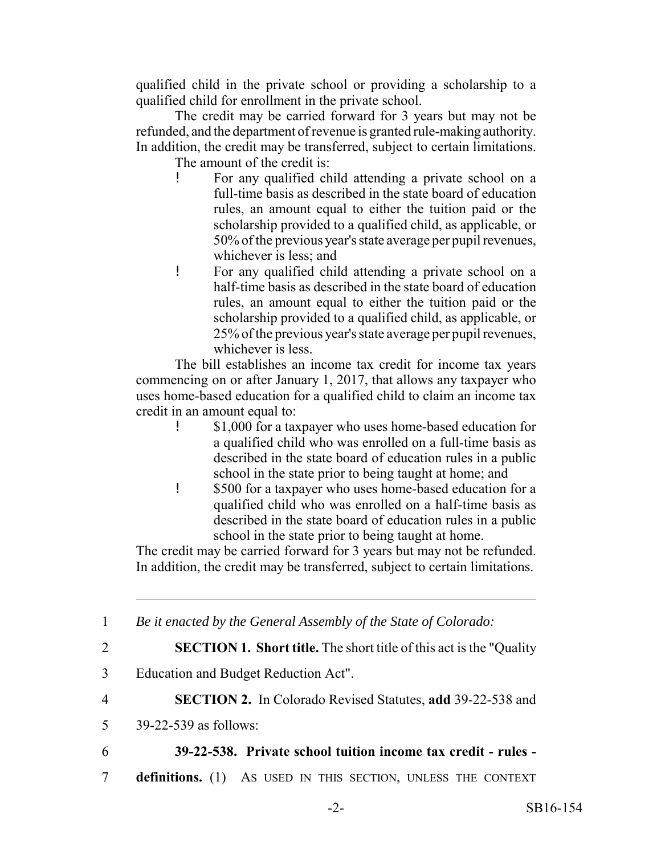qualified child in the private school or providing a scholarship to a qualified child for enrollment in the private school.

The credit may be carried forward for 3 years but may not be refunded, and the department of revenue is granted rule-making authority. In addition, the credit may be transferred, subject to certain limitations.

The amount of the credit is:

- ! For any qualified child attending a private school on a full-time basis as described in the state board of education rules, an amount equal to either the tuition paid or the scholarship provided to a qualified child, as applicable, or 50% of the previous year's state average per pupil revenues, whichever is less; and
- ! For any qualified child attending a private school on a half-time basis as described in the state board of education rules, an amount equal to either the tuition paid or the scholarship provided to a qualified child, as applicable, or 25% of the previous year's state average per pupil revenues, whichever is less.

The bill establishes an income tax credit for income tax years commencing on or after January 1, 2017, that allows any taxpayer who uses home-based education for a qualified child to claim an income tax credit in an amount equal to:

- ! \$1,000 for a taxpayer who uses home-based education for a qualified child who was enrolled on a full-time basis as described in the state board of education rules in a public school in the state prior to being taught at home; and
- ! \$500 for a taxpayer who uses home-based education for a qualified child who was enrolled on a half-time basis as described in the state board of education rules in a public school in the state prior to being taught at home.

The credit may be carried forward for 3 years but may not be refunded. In addition, the credit may be transferred, subject to certain limitations.

1 *Be it enacted by the General Assembly of the State of Colorado:*

2 **SECTION 1. Short title.** The short title of this act is the "Quality

- 3 Education and Budget Reduction Act".
- 4 **SECTION 2.** In Colorado Revised Statutes, **add** 39-22-538 and
- 5 39-22-539 as follows:
- 

## 6 **39-22-538. Private school tuition income tax credit - rules -**

7 **definitions.** (1) AS USED IN THIS SECTION, UNLESS THE CONTEXT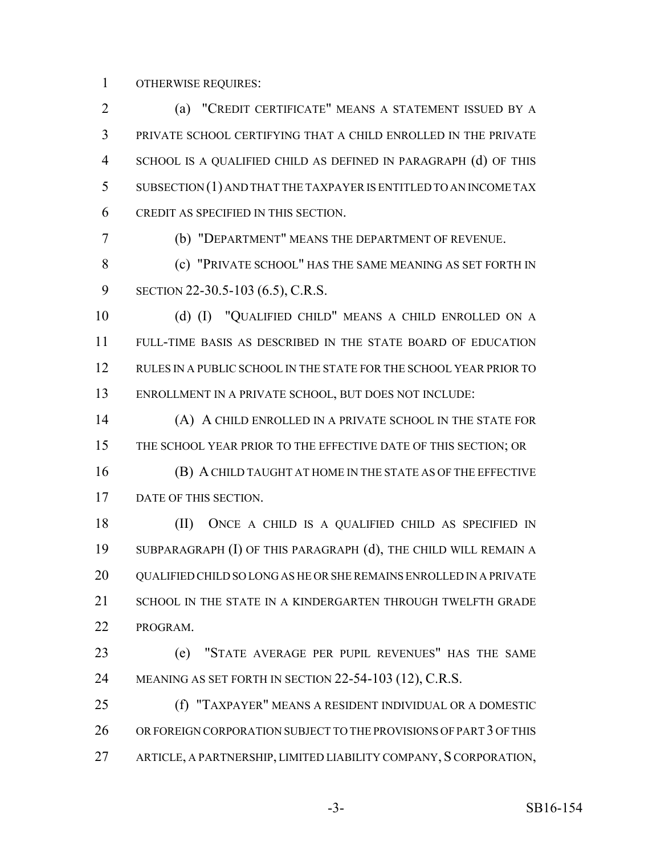OTHERWISE REQUIRES:

 (a) "CREDIT CERTIFICATE" MEANS A STATEMENT ISSUED BY A PRIVATE SCHOOL CERTIFYING THAT A CHILD ENROLLED IN THE PRIVATE SCHOOL IS A QUALIFIED CHILD AS DEFINED IN PARAGRAPH (d) OF THIS SUBSECTION (1) AND THAT THE TAXPAYER IS ENTITLED TO AN INCOME TAX CREDIT AS SPECIFIED IN THIS SECTION.

(b) "DEPARTMENT" MEANS THE DEPARTMENT OF REVENUE.

 (c) "PRIVATE SCHOOL" HAS THE SAME MEANING AS SET FORTH IN SECTION 22-30.5-103 (6.5), C.R.S.

 (d) (I) "QUALIFIED CHILD" MEANS A CHILD ENROLLED ON A FULL-TIME BASIS AS DESCRIBED IN THE STATE BOARD OF EDUCATION RULES IN A PUBLIC SCHOOL IN THE STATE FOR THE SCHOOL YEAR PRIOR TO ENROLLMENT IN A PRIVATE SCHOOL, BUT DOES NOT INCLUDE:

 (A) A CHILD ENROLLED IN A PRIVATE SCHOOL IN THE STATE FOR THE SCHOOL YEAR PRIOR TO THE EFFECTIVE DATE OF THIS SECTION; OR

 (B) A CHILD TAUGHT AT HOME IN THE STATE AS OF THE EFFECTIVE DATE OF THIS SECTION.

 (II) ONCE A CHILD IS A QUALIFIED CHILD AS SPECIFIED IN SUBPARAGRAPH (I) OF THIS PARAGRAPH (d), THE CHILD WILL REMAIN A 20 QUALIFIED CHILD SO LONG AS HE OR SHE REMAINS ENROLLED IN A PRIVATE 21 SCHOOL IN THE STATE IN A KINDERGARTEN THROUGH TWELFTH GRADE PROGRAM.

 (e) "STATE AVERAGE PER PUPIL REVENUES" HAS THE SAME MEANING AS SET FORTH IN SECTION 22-54-103 (12), C.R.S.

 (f) "TAXPAYER" MEANS A RESIDENT INDIVIDUAL OR A DOMESTIC 26 OR FOREIGN CORPORATION SUBJECT TO THE PROVISIONS OF PART 3 OF THIS ARTICLE, A PARTNERSHIP, LIMITED LIABILITY COMPANY, S CORPORATION,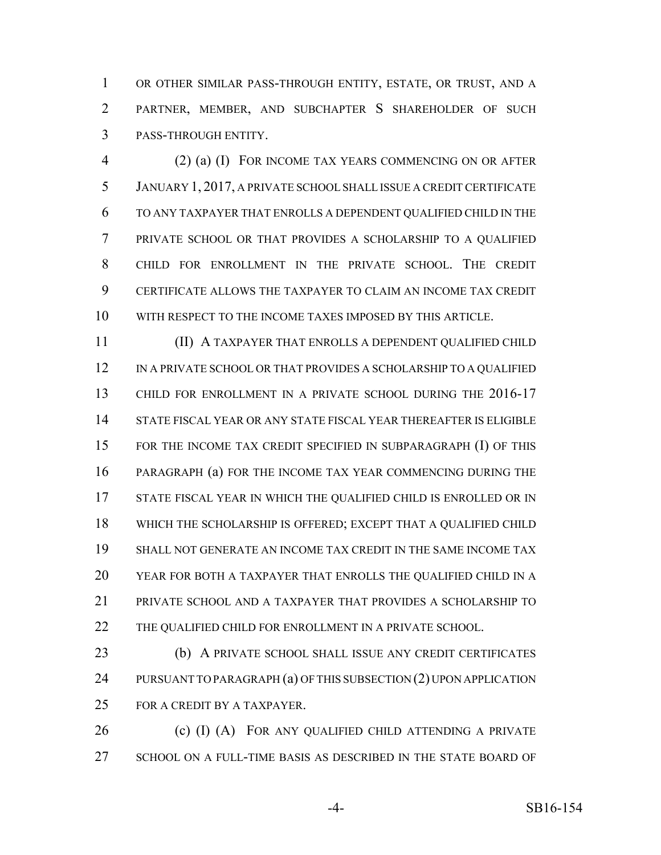OR OTHER SIMILAR PASS-THROUGH ENTITY, ESTATE, OR TRUST, AND A PARTNER, MEMBER, AND SUBCHAPTER S SHAREHOLDER OF SUCH PASS-THROUGH ENTITY.

 (2) (a) (I) FOR INCOME TAX YEARS COMMENCING ON OR AFTER JANUARY 1, 2017, A PRIVATE SCHOOL SHALL ISSUE A CREDIT CERTIFICATE TO ANY TAXPAYER THAT ENROLLS A DEPENDENT QUALIFIED CHILD IN THE PRIVATE SCHOOL OR THAT PROVIDES A SCHOLARSHIP TO A QUALIFIED CHILD FOR ENROLLMENT IN THE PRIVATE SCHOOL. THE CREDIT CERTIFICATE ALLOWS THE TAXPAYER TO CLAIM AN INCOME TAX CREDIT WITH RESPECT TO THE INCOME TAXES IMPOSED BY THIS ARTICLE.

 (II) A TAXPAYER THAT ENROLLS A DEPENDENT QUALIFIED CHILD 12 IN A PRIVATE SCHOOL OR THAT PROVIDES A SCHOLARSHIP TO A QUALIFIED 13 CHILD FOR ENROLLMENT IN A PRIVATE SCHOOL DURING THE 2016-17 STATE FISCAL YEAR OR ANY STATE FISCAL YEAR THEREAFTER IS ELIGIBLE FOR THE INCOME TAX CREDIT SPECIFIED IN SUBPARAGRAPH (I) OF THIS PARAGRAPH (a) FOR THE INCOME TAX YEAR COMMENCING DURING THE STATE FISCAL YEAR IN WHICH THE QUALIFIED CHILD IS ENROLLED OR IN WHICH THE SCHOLARSHIP IS OFFERED; EXCEPT THAT A QUALIFIED CHILD SHALL NOT GENERATE AN INCOME TAX CREDIT IN THE SAME INCOME TAX YEAR FOR BOTH A TAXPAYER THAT ENROLLS THE QUALIFIED CHILD IN A PRIVATE SCHOOL AND A TAXPAYER THAT PROVIDES A SCHOLARSHIP TO THE QUALIFIED CHILD FOR ENROLLMENT IN A PRIVATE SCHOOL.

 (b) A PRIVATE SCHOOL SHALL ISSUE ANY CREDIT CERTIFICATES 24 PURSUANT TO PARAGRAPH (a) OF THIS SUBSECTION (2) UPON APPLICATION FOR A CREDIT BY A TAXPAYER.

**(c) (I) (A)** FOR ANY QUALIFIED CHILD ATTENDING A PRIVATE SCHOOL ON A FULL-TIME BASIS AS DESCRIBED IN THE STATE BOARD OF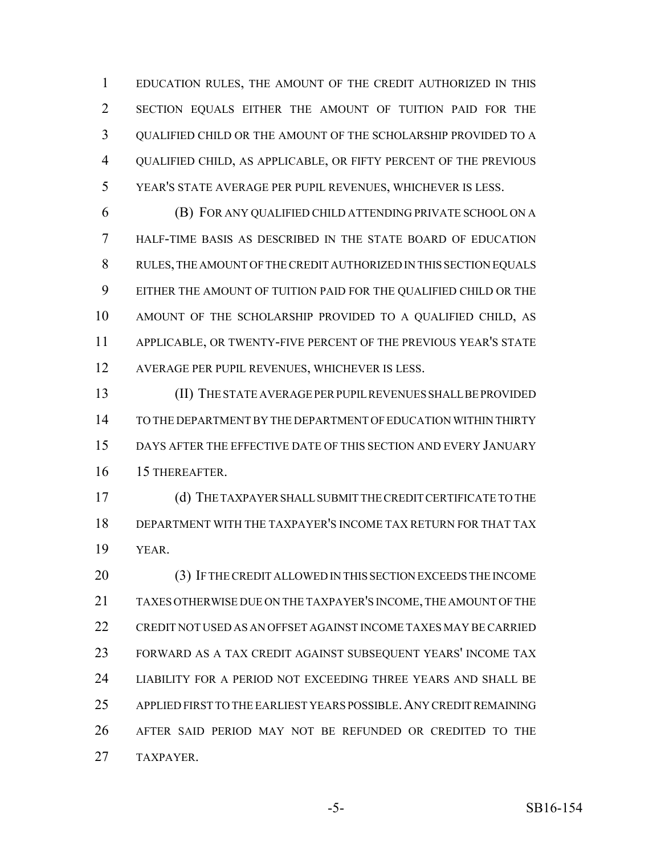EDUCATION RULES, THE AMOUNT OF THE CREDIT AUTHORIZED IN THIS SECTION EQUALS EITHER THE AMOUNT OF TUITION PAID FOR THE QUALIFIED CHILD OR THE AMOUNT OF THE SCHOLARSHIP PROVIDED TO A QUALIFIED CHILD, AS APPLICABLE, OR FIFTY PERCENT OF THE PREVIOUS YEAR'S STATE AVERAGE PER PUPIL REVENUES, WHICHEVER IS LESS.

 (B) FOR ANY QUALIFIED CHILD ATTENDING PRIVATE SCHOOL ON A HALF-TIME BASIS AS DESCRIBED IN THE STATE BOARD OF EDUCATION RULES, THE AMOUNT OF THE CREDIT AUTHORIZED IN THIS SECTION EQUALS EITHER THE AMOUNT OF TUITION PAID FOR THE QUALIFIED CHILD OR THE AMOUNT OF THE SCHOLARSHIP PROVIDED TO A QUALIFIED CHILD, AS APPLICABLE, OR TWENTY-FIVE PERCENT OF THE PREVIOUS YEAR'S STATE AVERAGE PER PUPIL REVENUES, WHICHEVER IS LESS.

 (II) THE STATE AVERAGE PER PUPIL REVENUES SHALL BE PROVIDED TO THE DEPARTMENT BY THE DEPARTMENT OF EDUCATION WITHIN THIRTY DAYS AFTER THE EFFECTIVE DATE OF THIS SECTION AND EVERY JANUARY 15 THEREAFTER.

 (d) THE TAXPAYER SHALL SUBMIT THE CREDIT CERTIFICATE TO THE DEPARTMENT WITH THE TAXPAYER'S INCOME TAX RETURN FOR THAT TAX YEAR.

 (3) IF THE CREDIT ALLOWED IN THIS SECTION EXCEEDS THE INCOME TAXES OTHERWISE DUE ON THE TAXPAYER'S INCOME, THE AMOUNT OF THE CREDIT NOT USED AS AN OFFSET AGAINST INCOME TAXES MAY BE CARRIED FORWARD AS A TAX CREDIT AGAINST SUBSEQUENT YEARS' INCOME TAX LIABILITY FOR A PERIOD NOT EXCEEDING THREE YEARS AND SHALL BE APPLIED FIRST TO THE EARLIEST YEARS POSSIBLE.ANY CREDIT REMAINING AFTER SAID PERIOD MAY NOT BE REFUNDED OR CREDITED TO THE TAXPAYER.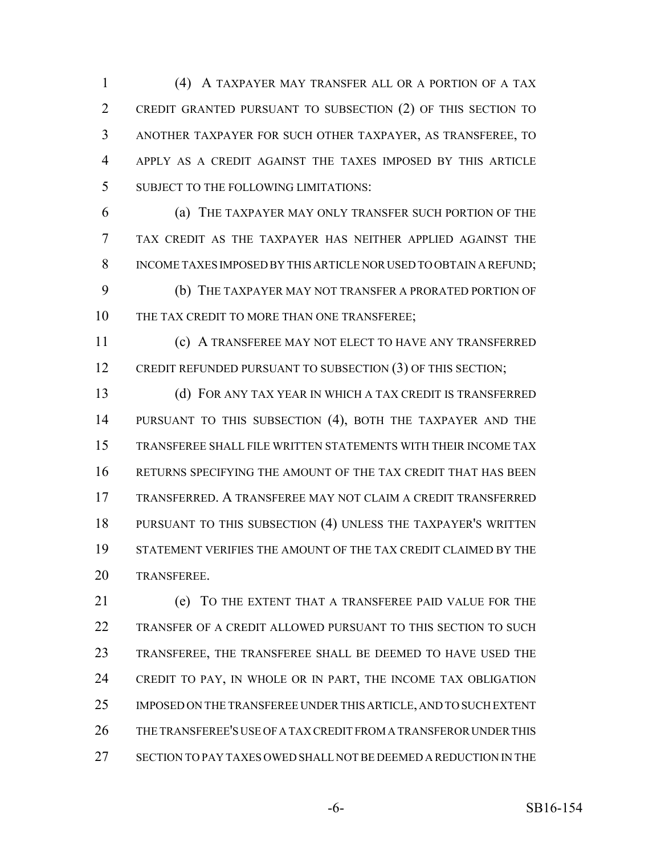(4) A TAXPAYER MAY TRANSFER ALL OR A PORTION OF A TAX CREDIT GRANTED PURSUANT TO SUBSECTION (2) OF THIS SECTION TO ANOTHER TAXPAYER FOR SUCH OTHER TAXPAYER, AS TRANSFEREE, TO APPLY AS A CREDIT AGAINST THE TAXES IMPOSED BY THIS ARTICLE SUBJECT TO THE FOLLOWING LIMITATIONS:

 (a) THE TAXPAYER MAY ONLY TRANSFER SUCH PORTION OF THE TAX CREDIT AS THE TAXPAYER HAS NEITHER APPLIED AGAINST THE INCOME TAXES IMPOSED BY THIS ARTICLE NOR USED TO OBTAIN A REFUND; (b) THE TAXPAYER MAY NOT TRANSFER A PRORATED PORTION OF 10 THE TAX CREDIT TO MORE THAN ONE TRANSFEREE;

 (c) A TRANSFEREE MAY NOT ELECT TO HAVE ANY TRANSFERRED 12 CREDIT REFUNDED PURSUANT TO SUBSECTION (3) OF THIS SECTION;

 (d) FOR ANY TAX YEAR IN WHICH A TAX CREDIT IS TRANSFERRED PURSUANT TO THIS SUBSECTION (4), BOTH THE TAXPAYER AND THE TRANSFEREE SHALL FILE WRITTEN STATEMENTS WITH THEIR INCOME TAX RETURNS SPECIFYING THE AMOUNT OF THE TAX CREDIT THAT HAS BEEN TRANSFERRED. A TRANSFEREE MAY NOT CLAIM A CREDIT TRANSFERRED PURSUANT TO THIS SUBSECTION (4) UNLESS THE TAXPAYER'S WRITTEN STATEMENT VERIFIES THE AMOUNT OF THE TAX CREDIT CLAIMED BY THE TRANSFEREE.

 (e) TO THE EXTENT THAT A TRANSFEREE PAID VALUE FOR THE TRANSFER OF A CREDIT ALLOWED PURSUANT TO THIS SECTION TO SUCH TRANSFEREE, THE TRANSFEREE SHALL BE DEEMED TO HAVE USED THE CREDIT TO PAY, IN WHOLE OR IN PART, THE INCOME TAX OBLIGATION IMPOSED ON THE TRANSFEREE UNDER THIS ARTICLE, AND TO SUCH EXTENT THE TRANSFEREE'S USE OF A TAX CREDIT FROM A TRANSFEROR UNDER THIS SECTION TO PAY TAXES OWED SHALL NOT BE DEEMED A REDUCTION IN THE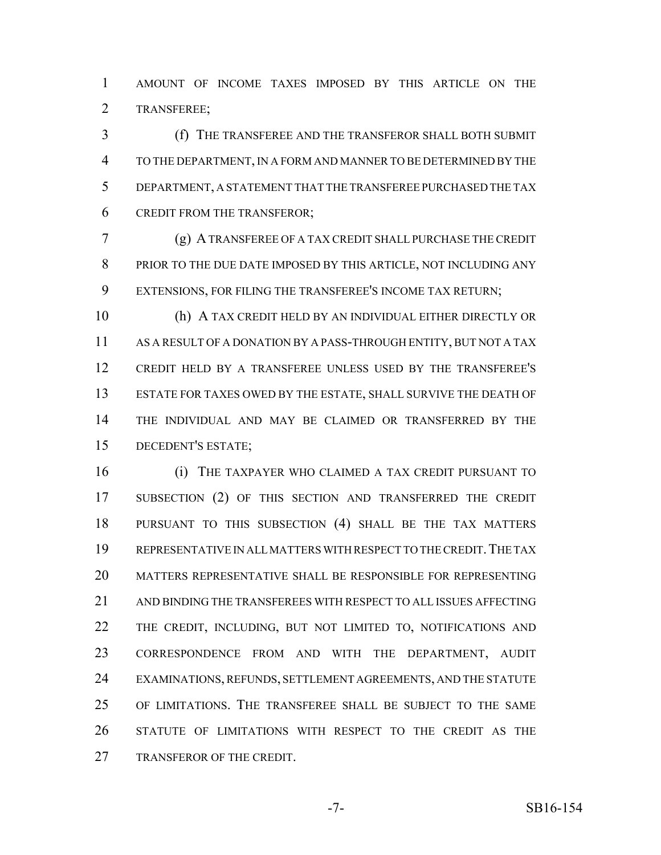AMOUNT OF INCOME TAXES IMPOSED BY THIS ARTICLE ON THE TRANSFEREE;

 (f) THE TRANSFEREE AND THE TRANSFEROR SHALL BOTH SUBMIT TO THE DEPARTMENT, IN A FORM AND MANNER TO BE DETERMINED BY THE DEPARTMENT, A STATEMENT THAT THE TRANSFEREE PURCHASED THE TAX CREDIT FROM THE TRANSFEROR;

 (g) A TRANSFEREE OF A TAX CREDIT SHALL PURCHASE THE CREDIT PRIOR TO THE DUE DATE IMPOSED BY THIS ARTICLE, NOT INCLUDING ANY EXTENSIONS, FOR FILING THE TRANSFEREE'S INCOME TAX RETURN;

 (h) A TAX CREDIT HELD BY AN INDIVIDUAL EITHER DIRECTLY OR AS A RESULT OF A DONATION BY A PASS-THROUGH ENTITY, BUT NOT A TAX CREDIT HELD BY A TRANSFEREE UNLESS USED BY THE TRANSFEREE'S ESTATE FOR TAXES OWED BY THE ESTATE, SHALL SURVIVE THE DEATH OF THE INDIVIDUAL AND MAY BE CLAIMED OR TRANSFERRED BY THE DECEDENT'S ESTATE;

 (i) THE TAXPAYER WHO CLAIMED A TAX CREDIT PURSUANT TO SUBSECTION (2) OF THIS SECTION AND TRANSFERRED THE CREDIT PURSUANT TO THIS SUBSECTION (4) SHALL BE THE TAX MATTERS 19 REPRESENTATIVE IN ALL MATTERS WITH RESPECT TO THE CREDIT. THE TAX MATTERS REPRESENTATIVE SHALL BE RESPONSIBLE FOR REPRESENTING AND BINDING THE TRANSFEREES WITH RESPECT TO ALL ISSUES AFFECTING THE CREDIT, INCLUDING, BUT NOT LIMITED TO, NOTIFICATIONS AND CORRESPONDENCE FROM AND WITH THE DEPARTMENT, AUDIT EXAMINATIONS, REFUNDS, SETTLEMENT AGREEMENTS, AND THE STATUTE OF LIMITATIONS. THE TRANSFEREE SHALL BE SUBJECT TO THE SAME STATUTE OF LIMITATIONS WITH RESPECT TO THE CREDIT AS THE TRANSFEROR OF THE CREDIT.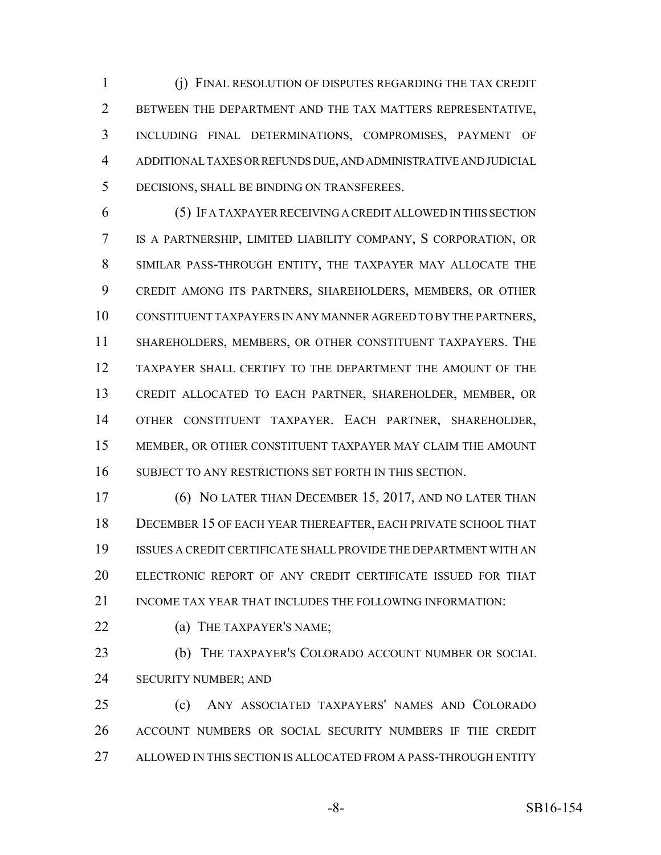(j) FINAL RESOLUTION OF DISPUTES REGARDING THE TAX CREDIT BETWEEN THE DEPARTMENT AND THE TAX MATTERS REPRESENTATIVE, INCLUDING FINAL DETERMINATIONS, COMPROMISES, PAYMENT OF ADDITIONAL TAXES OR REFUNDS DUE, AND ADMINISTRATIVE AND JUDICIAL DECISIONS, SHALL BE BINDING ON TRANSFEREES.

 (5) IF A TAXPAYER RECEIVING A CREDIT ALLOWED IN THIS SECTION IS A PARTNERSHIP, LIMITED LIABILITY COMPANY, S CORPORATION, OR SIMILAR PASS-THROUGH ENTITY, THE TAXPAYER MAY ALLOCATE THE CREDIT AMONG ITS PARTNERS, SHAREHOLDERS, MEMBERS, OR OTHER CONSTITUENT TAXPAYERS IN ANY MANNER AGREED TO BY THE PARTNERS, SHAREHOLDERS, MEMBERS, OR OTHER CONSTITUENT TAXPAYERS. THE TAXPAYER SHALL CERTIFY TO THE DEPARTMENT THE AMOUNT OF THE CREDIT ALLOCATED TO EACH PARTNER, SHAREHOLDER, MEMBER, OR OTHER CONSTITUENT TAXPAYER. EACH PARTNER, SHAREHOLDER, MEMBER, OR OTHER CONSTITUENT TAXPAYER MAY CLAIM THE AMOUNT 16 SUBJECT TO ANY RESTRICTIONS SET FORTH IN THIS SECTION.

 (6) NO LATER THAN DECEMBER 15, 2017, AND NO LATER THAN DECEMBER 15 OF EACH YEAR THEREAFTER, EACH PRIVATE SCHOOL THAT ISSUES A CREDIT CERTIFICATE SHALL PROVIDE THE DEPARTMENT WITH AN ELECTRONIC REPORT OF ANY CREDIT CERTIFICATE ISSUED FOR THAT INCOME TAX YEAR THAT INCLUDES THE FOLLOWING INFORMATION:

**(a) THE TAXPAYER'S NAME;** 

**(b)** THE TAXPAYER'S COLORADO ACCOUNT NUMBER OR SOCIAL SECURITY NUMBER; AND

 (c) ANY ASSOCIATED TAXPAYERS' NAMES AND COLORADO ACCOUNT NUMBERS OR SOCIAL SECURITY NUMBERS IF THE CREDIT ALLOWED IN THIS SECTION IS ALLOCATED FROM A PASS-THROUGH ENTITY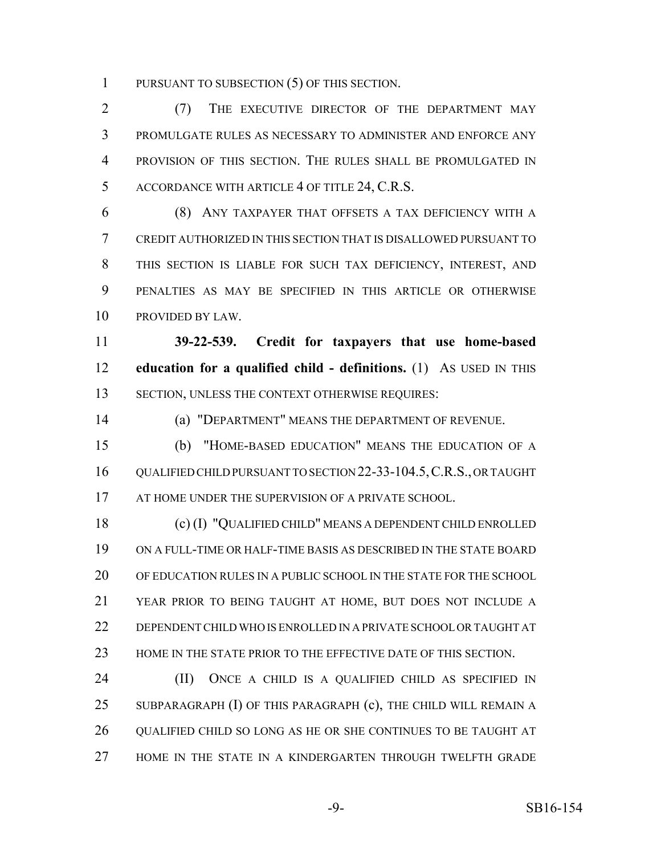PURSUANT TO SUBSECTION (5) OF THIS SECTION.

 (7) THE EXECUTIVE DIRECTOR OF THE DEPARTMENT MAY PROMULGATE RULES AS NECESSARY TO ADMINISTER AND ENFORCE ANY PROVISION OF THIS SECTION. THE RULES SHALL BE PROMULGATED IN ACCORDANCE WITH ARTICLE 4 OF TITLE 24, C.R.S.

 (8) ANY TAXPAYER THAT OFFSETS A TAX DEFICIENCY WITH A CREDIT AUTHORIZED IN THIS SECTION THAT IS DISALLOWED PURSUANT TO THIS SECTION IS LIABLE FOR SUCH TAX DEFICIENCY, INTEREST, AND PENALTIES AS MAY BE SPECIFIED IN THIS ARTICLE OR OTHERWISE PROVIDED BY LAW.

 **39-22-539. Credit for taxpayers that use home-based education for a qualified child - definitions.** (1) AS USED IN THIS SECTION, UNLESS THE CONTEXT OTHERWISE REQUIRES:

(a) "DEPARTMENT" MEANS THE DEPARTMENT OF REVENUE.

 (b) "HOME-BASED EDUCATION" MEANS THE EDUCATION OF A 16 QUALIFIED CHILD PURSUANT TO SECTION 22-33-104.5, C.R.S., OR TAUGHT 17 AT HOME UNDER THE SUPERVISION OF A PRIVATE SCHOOL.

 (c) (I) "QUALIFIED CHILD" MEANS A DEPENDENT CHILD ENROLLED ON A FULL-TIME OR HALF-TIME BASIS AS DESCRIBED IN THE STATE BOARD OF EDUCATION RULES IN A PUBLIC SCHOOL IN THE STATE FOR THE SCHOOL YEAR PRIOR TO BEING TAUGHT AT HOME, BUT DOES NOT INCLUDE A DEPENDENT CHILD WHO IS ENROLLED IN A PRIVATE SCHOOL OR TAUGHT AT HOME IN THE STATE PRIOR TO THE EFFECTIVE DATE OF THIS SECTION.

 (II) ONCE A CHILD IS A QUALIFIED CHILD AS SPECIFIED IN SUBPARAGRAPH (I) OF THIS PARAGRAPH (c), THE CHILD WILL REMAIN A QUALIFIED CHILD SO LONG AS HE OR SHE CONTINUES TO BE TAUGHT AT HOME IN THE STATE IN A KINDERGARTEN THROUGH TWELFTH GRADE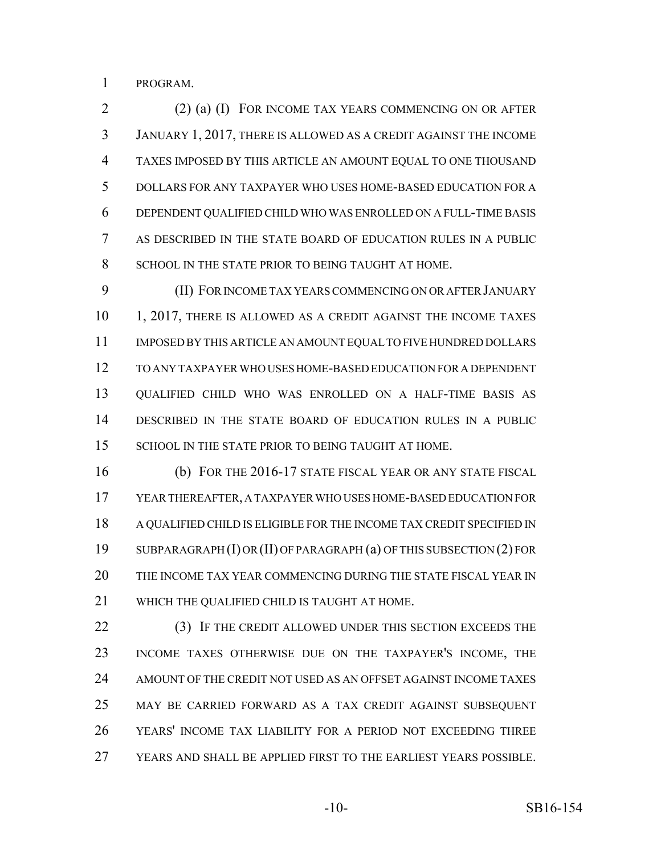PROGRAM.

 (2) (a) (I) FOR INCOME TAX YEARS COMMENCING ON OR AFTER JANUARY 1, 2017, THERE IS ALLOWED AS A CREDIT AGAINST THE INCOME TAXES IMPOSED BY THIS ARTICLE AN AMOUNT EQUAL TO ONE THOUSAND DOLLARS FOR ANY TAXPAYER WHO USES HOME-BASED EDUCATION FOR A DEPENDENT QUALIFIED CHILD WHO WAS ENROLLED ON A FULL-TIME BASIS AS DESCRIBED IN THE STATE BOARD OF EDUCATION RULES IN A PUBLIC 8 SCHOOL IN THE STATE PRIOR TO BEING TAUGHT AT HOME.

 (II) FOR INCOME TAX YEARS COMMENCING ON OR AFTER JANUARY 10 1, 2017, THERE IS ALLOWED AS A CREDIT AGAINST THE INCOME TAXES IMPOSED BY THIS ARTICLE AN AMOUNT EQUAL TO FIVE HUNDRED DOLLARS TO ANY TAXPAYER WHO USES HOME-BASED EDUCATION FOR A DEPENDENT QUALIFIED CHILD WHO WAS ENROLLED ON A HALF-TIME BASIS AS DESCRIBED IN THE STATE BOARD OF EDUCATION RULES IN A PUBLIC 15 SCHOOL IN THE STATE PRIOR TO BEING TAUGHT AT HOME.

 (b) FOR THE 2016-17 STATE FISCAL YEAR OR ANY STATE FISCAL YEAR THEREAFTER, A TAXPAYER WHO USES HOME-BASED EDUCATION FOR A QUALIFIED CHILD IS ELIGIBLE FOR THE INCOME TAX CREDIT SPECIFIED IN SUBPARAGRAPH (I) OR (II) OF PARAGRAPH (a) OF THIS SUBSECTION (2) FOR THE INCOME TAX YEAR COMMENCING DURING THE STATE FISCAL YEAR IN WHICH THE QUALIFIED CHILD IS TAUGHT AT HOME.

 (3) IF THE CREDIT ALLOWED UNDER THIS SECTION EXCEEDS THE INCOME TAXES OTHERWISE DUE ON THE TAXPAYER'S INCOME, THE AMOUNT OF THE CREDIT NOT USED AS AN OFFSET AGAINST INCOME TAXES MAY BE CARRIED FORWARD AS A TAX CREDIT AGAINST SUBSEQUENT YEARS' INCOME TAX LIABILITY FOR A PERIOD NOT EXCEEDING THREE YEARS AND SHALL BE APPLIED FIRST TO THE EARLIEST YEARS POSSIBLE.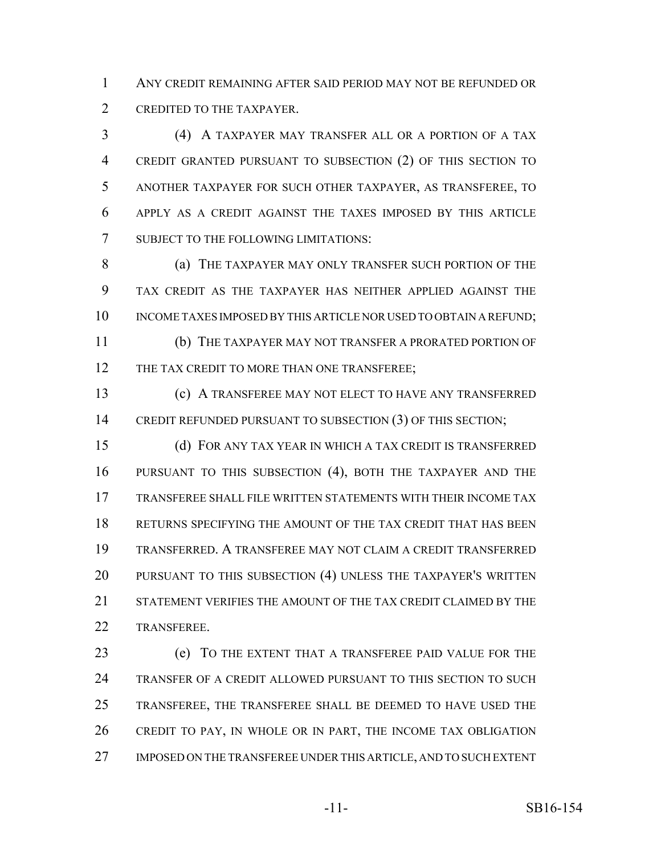ANY CREDIT REMAINING AFTER SAID PERIOD MAY NOT BE REFUNDED OR CREDITED TO THE TAXPAYER.

 (4) A TAXPAYER MAY TRANSFER ALL OR A PORTION OF A TAX CREDIT GRANTED PURSUANT TO SUBSECTION (2) OF THIS SECTION TO ANOTHER TAXPAYER FOR SUCH OTHER TAXPAYER, AS TRANSFEREE, TO APPLY AS A CREDIT AGAINST THE TAXES IMPOSED BY THIS ARTICLE SUBJECT TO THE FOLLOWING LIMITATIONS:

**(a) THE TAXPAYER MAY ONLY TRANSFER SUCH PORTION OF THE**  TAX CREDIT AS THE TAXPAYER HAS NEITHER APPLIED AGAINST THE 10 INCOME TAXES IMPOSED BY THIS ARTICLE NOR USED TO OBTAIN A REFUND;

 (b) THE TAXPAYER MAY NOT TRANSFER A PRORATED PORTION OF 12 THE TAX CREDIT TO MORE THAN ONE TRANSFEREE;

 (c) A TRANSFEREE MAY NOT ELECT TO HAVE ANY TRANSFERRED 14 CREDIT REFUNDED PURSUANT TO SUBSECTION (3) OF THIS SECTION;

 (d) FOR ANY TAX YEAR IN WHICH A TAX CREDIT IS TRANSFERRED PURSUANT TO THIS SUBSECTION (4), BOTH THE TAXPAYER AND THE TRANSFEREE SHALL FILE WRITTEN STATEMENTS WITH THEIR INCOME TAX RETURNS SPECIFYING THE AMOUNT OF THE TAX CREDIT THAT HAS BEEN TRANSFERRED. A TRANSFEREE MAY NOT CLAIM A CREDIT TRANSFERRED PURSUANT TO THIS SUBSECTION (4) UNLESS THE TAXPAYER'S WRITTEN STATEMENT VERIFIES THE AMOUNT OF THE TAX CREDIT CLAIMED BY THE TRANSFEREE.

 (e) TO THE EXTENT THAT A TRANSFEREE PAID VALUE FOR THE TRANSFER OF A CREDIT ALLOWED PURSUANT TO THIS SECTION TO SUCH TRANSFEREE, THE TRANSFEREE SHALL BE DEEMED TO HAVE USED THE CREDIT TO PAY, IN WHOLE OR IN PART, THE INCOME TAX OBLIGATION IMPOSED ON THE TRANSFEREE UNDER THIS ARTICLE, AND TO SUCH EXTENT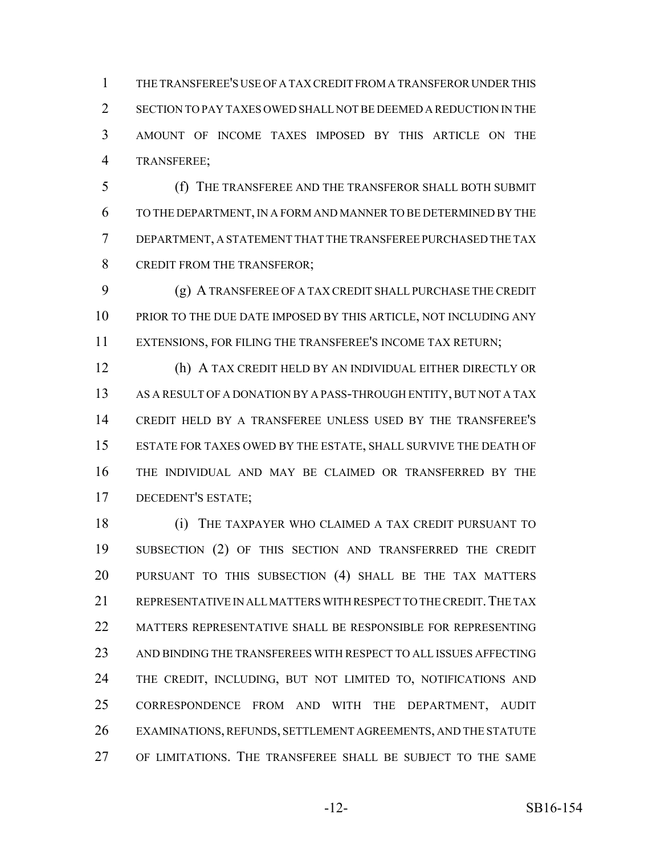THE TRANSFEREE'S USE OF A TAX CREDIT FROM A TRANSFEROR UNDER THIS SECTION TO PAY TAXES OWED SHALL NOT BE DEEMED A REDUCTION IN THE AMOUNT OF INCOME TAXES IMPOSED BY THIS ARTICLE ON THE TRANSFEREE;

 (f) THE TRANSFEREE AND THE TRANSFEROR SHALL BOTH SUBMIT TO THE DEPARTMENT, IN A FORM AND MANNER TO BE DETERMINED BY THE DEPARTMENT, A STATEMENT THAT THE TRANSFEREE PURCHASED THE TAX 8 CREDIT FROM THE TRANSFEROR;

 (g) A TRANSFEREE OF A TAX CREDIT SHALL PURCHASE THE CREDIT 10 PRIOR TO THE DUE DATE IMPOSED BY THIS ARTICLE, NOT INCLUDING ANY EXTENSIONS, FOR FILING THE TRANSFEREE'S INCOME TAX RETURN;

 (h) A TAX CREDIT HELD BY AN INDIVIDUAL EITHER DIRECTLY OR AS A RESULT OF A DONATION BY A PASS-THROUGH ENTITY, BUT NOT A TAX CREDIT HELD BY A TRANSFEREE UNLESS USED BY THE TRANSFEREE'S ESTATE FOR TAXES OWED BY THE ESTATE, SHALL SURVIVE THE DEATH OF THE INDIVIDUAL AND MAY BE CLAIMED OR TRANSFERRED BY THE DECEDENT'S ESTATE;

 (i) THE TAXPAYER WHO CLAIMED A TAX CREDIT PURSUANT TO 19 SUBSECTION (2) OF THIS SECTION AND TRANSFERRED THE CREDIT PURSUANT TO THIS SUBSECTION (4) SHALL BE THE TAX MATTERS 21 REPRESENTATIVE IN ALL MATTERS WITH RESPECT TO THE CREDIT. THE TAX MATTERS REPRESENTATIVE SHALL BE RESPONSIBLE FOR REPRESENTING AND BINDING THE TRANSFEREES WITH RESPECT TO ALL ISSUES AFFECTING THE CREDIT, INCLUDING, BUT NOT LIMITED TO, NOTIFICATIONS AND CORRESPONDENCE FROM AND WITH THE DEPARTMENT, AUDIT EXAMINATIONS, REFUNDS, SETTLEMENT AGREEMENTS, AND THE STATUTE OF LIMITATIONS. THE TRANSFEREE SHALL BE SUBJECT TO THE SAME